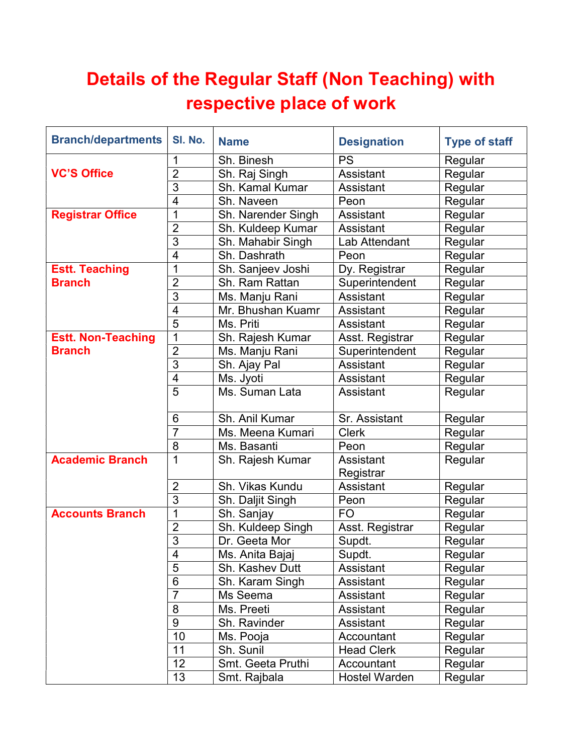## Details of the Regular Staff (Non Teaching) with respective place of work

| <b>Branch/departments</b> | SI. No.                  | <b>Name</b>        | <b>Designation</b>     | <b>Type of staff</b> |
|---------------------------|--------------------------|--------------------|------------------------|----------------------|
|                           | 1                        | Sh. Binesh         | <b>PS</b>              | Regular              |
| <b>VC'S Office</b>        | $\overline{2}$           | Sh. Raj Singh      | Assistant              | Regular              |
|                           | 3                        | Sh. Kamal Kumar    | Assistant              | Regular              |
|                           | $\overline{4}$           | Sh. Naveen         | Peon                   | Regular              |
| <b>Registrar Office</b>   | 1                        | Sh. Narender Singh | Assistant              | Regular              |
|                           | $\overline{2}$           | Sh. Kuldeep Kumar  | Assistant              | Regular              |
|                           | 3                        | Sh. Mahabir Singh  | Lab Attendant          | Regular              |
|                           | $\overline{4}$           | Sh. Dashrath       | Peon                   | Regular              |
| <b>Estt. Teaching</b>     | 1                        | Sh. Sanjeev Joshi  | Dy. Registrar          | Regular              |
| <b>Branch</b>             | $\overline{2}$           | Sh. Ram Rattan     | Superintendent         | Regular              |
|                           | $\overline{3}$           | Ms. Manju Rani     | <b>Assistant</b>       | Regular              |
|                           | 4                        | Mr. Bhushan Kuamr  | Assistant              | Regular              |
|                           | $\overline{5}$           | Ms. Priti          | Assistant              | Regular              |
| <b>Estt. Non-Teaching</b> | 1                        | Sh. Rajesh Kumar   | Asst. Registrar        | Regular              |
| <b>Branch</b>             | $\overline{2}$           | Ms. Manju Rani     | Superintendent         | Regular              |
|                           | 3                        | Sh. Ajay Pal       | <b>Assistant</b>       | Regular              |
|                           | $\overline{\mathcal{A}}$ | Ms. Jyoti          | Assistant              | Regular              |
|                           | $\overline{5}$           | Ms. Suman Lata     | Assistant              | Regular              |
|                           | 6                        | Sh. Anil Kumar     | Sr. Assistant          | Regular              |
|                           | $\overline{7}$           | Ms. Meena Kumari   | <b>Clerk</b>           | Regular              |
|                           | 8                        | Ms. Basanti        | Peon                   | Regular              |
| <b>Academic Branch</b>    | 1                        | Sh. Rajesh Kumar   | Assistant<br>Registrar | Regular              |
|                           | $\overline{2}$           | Sh. Vikas Kundu    | Assistant              | Regular              |
|                           | 3                        | Sh. Daljit Singh   | Peon                   | Regular              |
| <b>Accounts Branch</b>    | 1                        | Sh. Sanjay         | F <sub>O</sub>         | Regular              |
|                           | $\overline{2}$           | Sh. Kuldeep Singh  | Asst. Registrar        | Regular              |
|                           | 3                        | Dr. Geeta Mor      | Supdt.                 | Regular              |
|                           | 4                        | Ms. Anita Bajaj    | Supdt.                 | Regular              |
|                           | 5                        | Sh. Kashev Dutt    | Assistant              | Regular              |
|                           | 6                        | Sh. Karam Singh    | Assistant              | Regular              |
|                           | $\overline{7}$           | Ms Seema           | Assistant              | Regular              |
|                           | 8                        | Ms. Preeti         | Assistant              | Regular              |
|                           | 9                        | Sh. Ravinder       | Assistant              | Regular              |
|                           | 10                       | Ms. Pooja          | Accountant             | Regular              |
|                           | 11                       | Sh. Sunil          | <b>Head Clerk</b>      | Regular              |
|                           | 12                       | Smt. Geeta Pruthi  | Accountant             | Regular              |
|                           | 13                       | Smt. Rajbala       | <b>Hostel Warden</b>   | Regular              |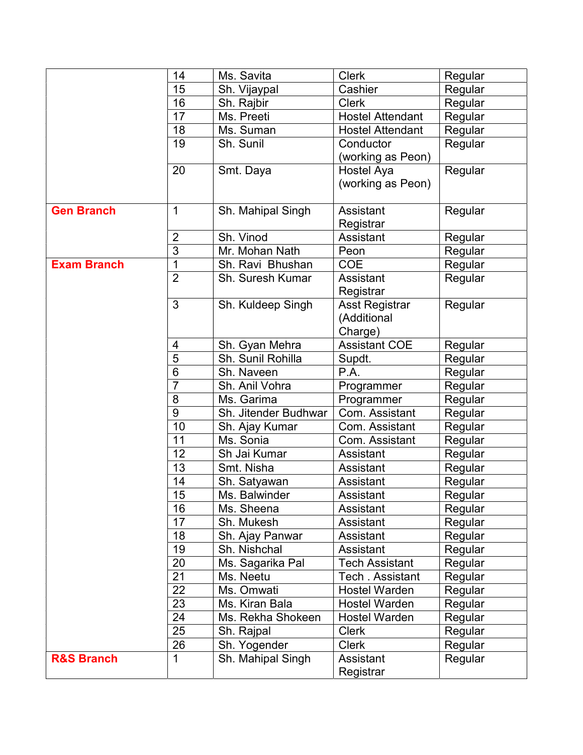|                       | 14              | Ms. Savita           | <b>Clerk</b>            | Regular |
|-----------------------|-----------------|----------------------|-------------------------|---------|
|                       | 15              | Sh. Vijaypal         | Cashier                 | Regular |
|                       | 16              | Sh. Rajbir           | <b>Clerk</b>            | Regular |
|                       | 17              | Ms. Preeti           | <b>Hostel Attendant</b> | Regular |
|                       | 18              | Ms. Suman            | <b>Hostel Attendant</b> | Regular |
|                       | 19              | Sh. Sunil            | Conductor               | Regular |
|                       |                 |                      | (working as Peon)       |         |
|                       | 20              | Smt. Daya            | Hostel Aya              | Regular |
|                       |                 |                      | (working as Peon)       |         |
| <b>Gen Branch</b>     | 1               | Sh. Mahipal Singh    | Assistant               | Regular |
|                       |                 |                      | Registrar               |         |
|                       | $\overline{2}$  | Sh. Vinod            | Assistant               | Regular |
|                       | $\overline{3}$  | Mr. Mohan Nath       | Peon                    | Regular |
| <b>Exam Branch</b>    | 1               | Sh. Ravi Bhushan     | <b>COE</b>              | Regular |
|                       | $\overline{2}$  | Sh. Suresh Kumar     | Assistant<br>Registrar  | Regular |
|                       | 3               | Sh. Kuldeep Singh    | <b>Asst Registrar</b>   | Regular |
|                       |                 |                      | (Additional             |         |
|                       |                 |                      | Charge)                 |         |
|                       | 4               | Sh. Gyan Mehra       | <b>Assistant COE</b>    | Regular |
|                       | 5               | Sh. Sunil Rohilla    | Supdt.                  | Regular |
|                       | $6\phantom{1}6$ | Sh. Naveen           | P.A.                    | Regular |
|                       | $\overline{7}$  | Sh. Anil Vohra       | Programmer              | Regular |
|                       | 8               | Ms. Garima           | Programmer              | Regular |
|                       | $9\,$           | Sh. Jitender Budhwar | Com. Assistant          | Regular |
|                       | 10              | Sh. Ajay Kumar       | Com. Assistant          | Regular |
|                       | 11              | Ms. Sonia            | Com. Assistant          | Regular |
|                       | 12              | Sh Jai Kumar         | Assistant               | Regular |
|                       | 13              | Smt. Nisha           | Assistant               | Regular |
|                       | 14              | Sh. Satyawan         | Assistant               | Regular |
|                       | 15              | Ms. Balwinder        | Assistant               | Regular |
|                       | 16              | Ms. Sheena           | Assistant               | Regular |
|                       | 17              | Sh. Mukesh           | Assistant               | Regular |
|                       | 18              | Sh. Ajay Panwar      | Assistant               | Regular |
|                       | 19              | Sh. Nishchal         | Assistant               | Regular |
|                       | 20              | Ms. Sagarika Pal     | <b>Tech Assistant</b>   | Regular |
|                       | 21              | Ms. Neetu            | Tech . Assistant        | Regular |
|                       | 22              | Ms. Omwati           | <b>Hostel Warden</b>    | Regular |
|                       | 23              | Ms. Kiran Bala       | <b>Hostel Warden</b>    | Regular |
|                       | 24              | Ms. Rekha Shokeen    | <b>Hostel Warden</b>    | Regular |
|                       | 25              | Sh. Rajpal           | <b>Clerk</b>            | Regular |
|                       | 26              | Sh. Yogender         | <b>Clerk</b>            | Regular |
| <b>R&amp;S Branch</b> | 1               | Sh. Mahipal Singh    | Assistant               | Regular |
|                       |                 |                      | Registrar               |         |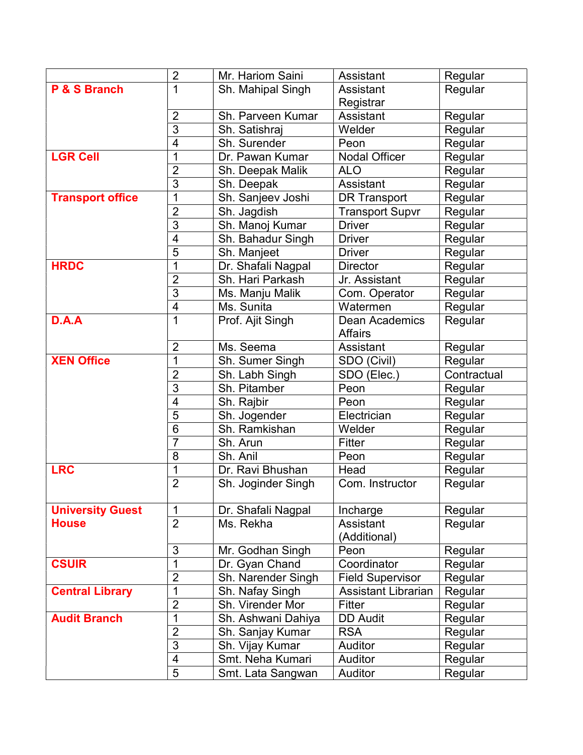|                         | $\overline{2}$           | Mr. Hariom Saini   | Assistant                        | Regular     |
|-------------------------|--------------------------|--------------------|----------------------------------|-------------|
| P & S Branch            | 1                        | Sh. Mahipal Singh  | Assistant                        | Regular     |
|                         |                          |                    | Registrar                        |             |
|                         | $\overline{2}$           | Sh. Parveen Kumar  | Assistant                        | Regular     |
|                         | $\overline{3}$           | Sh. Satishraj      | Welder                           | Regular     |
|                         | $\overline{\mathcal{A}}$ | Sh. Surender       | Peon                             | Regular     |
| <b>LGR Cell</b>         | 1                        | Dr. Pawan Kumar    | <b>Nodal Officer</b>             | Regular     |
|                         | $\overline{2}$           | Sh. Deepak Malik   | <b>ALO</b>                       | Regular     |
|                         | $\overline{3}$           | Sh. Deepak         | Assistant                        | Regular     |
| <b>Transport office</b> | 1                        | Sh. Sanjeev Joshi  | <b>DR Transport</b>              | Regular     |
|                         | $\overline{2}$           | Sh. Jagdish        | <b>Transport Supvr</b>           | Regular     |
|                         | 3                        | Sh. Manoj Kumar    | <b>Driver</b>                    | Regular     |
|                         | $\overline{\mathcal{A}}$ | Sh. Bahadur Singh  | <b>Driver</b>                    | Regular     |
|                         | $\overline{5}$           | Sh. Manjeet        | <b>Driver</b>                    | Regular     |
| <b>HRDC</b>             | 1                        | Dr. Shafali Nagpal | <b>Director</b>                  | Regular     |
|                         | $\overline{2}$           | Sh. Hari Parkash   | Jr. Assistant                    | Regular     |
|                         | 3                        | Ms. Manju Malik    | Com. Operator                    | Regular     |
|                         | $\overline{4}$           | Ms. Sunita         | Watermen                         | Regular     |
| D.A.A                   | 1                        | Prof. Ajit Singh   | Dean Academics<br><b>Affairs</b> | Regular     |
|                         | $\overline{2}$           | Ms. Seema          | Assistant                        | Regular     |
| <b>XEN Office</b>       | 1                        | Sh. Sumer Singh    | SDO (Civil)                      | Regular     |
|                         | $\overline{2}$           | Sh. Labh Singh     | SDO (Elec.)                      | Contractual |
|                         | $\overline{3}$           | Sh. Pitamber       | Peon                             | Regular     |
|                         | 4                        | Sh. Rajbir         | Peon                             | Regular     |
|                         | $\overline{5}$           | Sh. Jogender       | Electrician                      | Regular     |
|                         | 6                        | Sh. Ramkishan      | Welder                           | Regular     |
|                         | $\overline{7}$           | Sh. Arun           | Fitter                           | Regular     |
|                         | 8                        | Sh. Anil           | Peon                             | Regular     |
| <b>LRC</b>              | 1                        | Dr. Ravi Bhushan   | Head                             | Regular     |
|                         | $\overline{2}$           | Sh. Joginder Singh | Com. Instructor                  | Regular     |
| <b>University Guest</b> | $\mathbf 1$              | Dr. Shafali Nagpal | Incharge                         | Regular     |
| <b>House</b>            | $\overline{2}$           | Ms. Rekha          | Assistant<br>(Additional)        | Regular     |
|                         | 3                        | Mr. Godhan Singh   | Peon                             | Regular     |
| <b>CSUIR</b>            | 1                        | Dr. Gyan Chand     | Coordinator                      | Regular     |
|                         | $\overline{2}$           | Sh. Narender Singh | <b>Field Supervisor</b>          | Regular     |
| <b>Central Library</b>  | 1                        | Sh. Nafay Singh    | <b>Assistant Librarian</b>       | Regular     |
|                         | $\overline{2}$           | Sh. Virender Mor   | Fitter                           | Regular     |
| <b>Audit Branch</b>     | 1                        | Sh. Ashwani Dahiya | <b>DD Audit</b>                  | Regular     |
|                         | $\overline{2}$           | Sh. Sanjay Kumar   | <b>RSA</b>                       | Regular     |
|                         | $\overline{3}$           | Sh. Vijay Kumar    | Auditor                          | Regular     |
|                         | $\overline{\mathbf{4}}$  | Smt. Neha Kumari   | Auditor                          | Regular     |
|                         | $\overline{5}$           | Smt. Lata Sangwan  | Auditor                          | Regular     |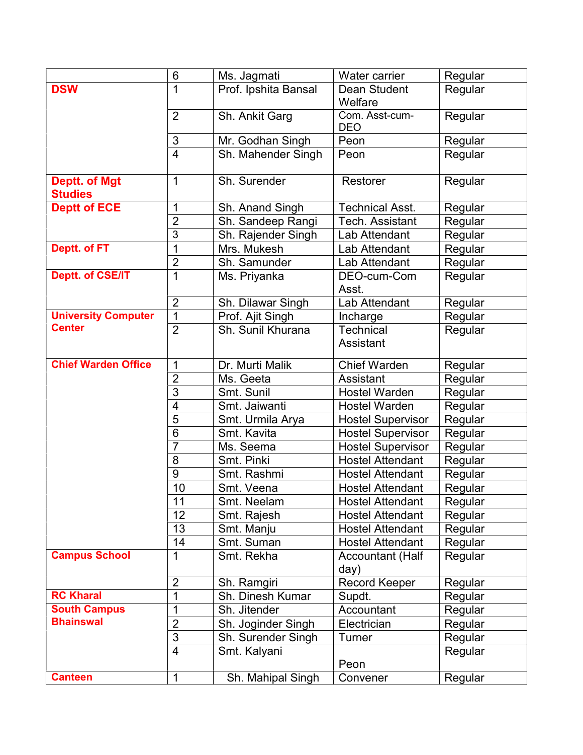|                                        | 6              | Ms. Jagmati          | Water carrier                   | Regular |
|----------------------------------------|----------------|----------------------|---------------------------------|---------|
| <b>DSW</b>                             | 1              | Prof. Ipshita Bansal | Dean Student                    | Regular |
|                                        |                |                      | Welfare                         |         |
|                                        | $\overline{2}$ | Sh. Ankit Garg       | Com. Asst-cum-                  | Regular |
|                                        |                |                      | <b>DEO</b>                      |         |
|                                        | 3              | Mr. Godhan Singh     | Peon                            | Regular |
|                                        | $\overline{4}$ | Sh. Mahender Singh   | Peon                            | Regular |
| <b>Deptt. of Mgt</b><br><b>Studies</b> | 1              | Sh. Surender         | Restorer                        | Regular |
| <b>Deptt of ECE</b>                    | 1              | Sh. Anand Singh      | <b>Technical Asst.</b>          | Regular |
|                                        | $\overline{2}$ | Sh. Sandeep Rangi    | Tech. Assistant                 | Regular |
|                                        | 3              | Sh. Rajender Singh   | Lab Attendant                   | Regular |
| Deptt. of FT                           | 1              | Mrs. Mukesh          | Lab Attendant                   | Regular |
|                                        | $\overline{2}$ | Sh. Samunder         | Lab Attendant                   | Regular |
| <b>Deptt. of CSE/IT</b>                | 1              | Ms. Priyanka         | DEO-cum-Com<br>Asst.            | Regular |
|                                        | $\overline{2}$ | Sh. Dilawar Singh    | Lab Attendant                   | Regular |
| <b>University Computer</b>             | 1              | Prof. Ajit Singh     | Incharge                        | Regular |
| <b>Center</b>                          | $\overline{2}$ | Sh. Sunil Khurana    | <b>Technical</b><br>Assistant   | Regular |
|                                        |                |                      |                                 |         |
| <b>Chief Warden Office</b>             | 1              | Dr. Murti Malik      | Chief Warden                    | Regular |
|                                        | $\overline{2}$ | Ms. Geeta            | <b>Assistant</b>                | Regular |
|                                        | 3              | Smt. Sunil           | <b>Hostel Warden</b>            | Regular |
|                                        | $\overline{4}$ | Smt. Jaiwanti        | <b>Hostel Warden</b>            | Regular |
|                                        | 5              | Smt. Urmila Arya     | <b>Hostel Supervisor</b>        | Regular |
|                                        | 6              | Smt. Kavita          | <b>Hostel Supervisor</b>        | Regular |
|                                        | 7              | Ms. Seema            | <b>Hostel Supervisor</b>        | Regular |
|                                        | 8              | Smt. Pinki           | <b>Hostel Attendant</b>         | Regular |
|                                        | 9              | Smt. Rashmi          | <b>Hostel Attendant</b>         | Regular |
|                                        | 10             | Smt. Veena           | <b>Hostel Attendant</b>         | Regular |
|                                        | 11             | Smt. Neelam          | <b>Hostel Attendant</b>         | Regular |
|                                        | 12             | Smt. Rajesh          | <b>Hostel Attendant</b>         | Regular |
|                                        | 13             | Smt. Manju           | <b>Hostel Attendant</b>         | Regular |
|                                        | 14             | Smt. Suman           | <b>Hostel Attendant</b>         | Regular |
| <b>Campus School</b>                   | 1              | Smt. Rekha           | <b>Accountant (Half</b><br>day) | Regular |
|                                        | $\overline{2}$ | Sh. Ramgiri          | <b>Record Keeper</b>            | Regular |
| <b>RC Kharal</b>                       | 1              | Sh. Dinesh Kumar     | Supdt.                          | Regular |
| <b>South Campus</b>                    | 1              | Sh. Jitender         | Accountant                      | Regular |
| <b>Bhainswal</b>                       | $\overline{2}$ | Sh. Joginder Singh   | Electrician                     | Regular |
|                                        | $\overline{3}$ | Sh. Surender Singh   | Turner                          | Regular |
|                                        | $\overline{4}$ | Smt. Kalyani         | Peon                            | Regular |
| <b>Canteen</b>                         | 1              | Sh. Mahipal Singh    | Convener                        | Regular |
|                                        |                |                      |                                 |         |